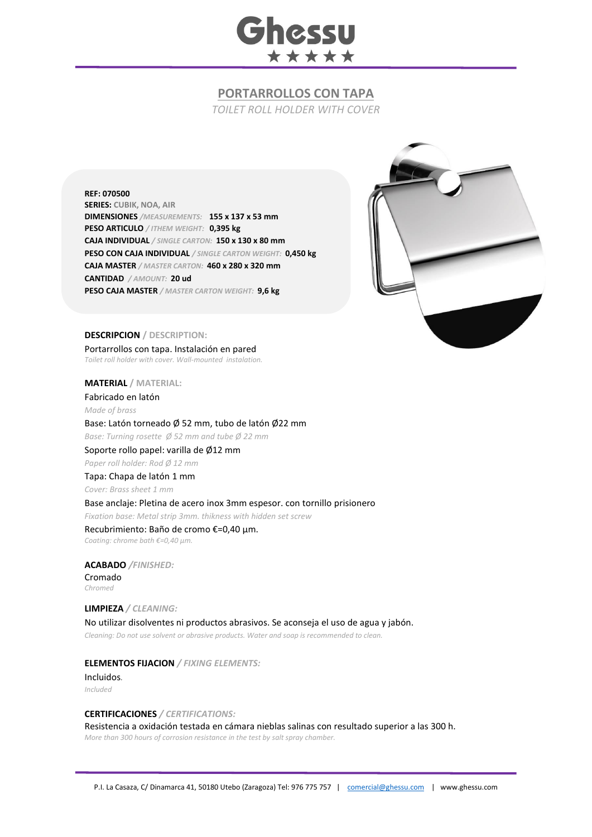

# **PORTARROLLOS CON TAPA**

*TOILET ROLL HOLDER WITH COVER*

**REF: 070500 SERIES: CUBIK, NOA, AIR DIMENSIONES** */MEASUREMENTS:* **155 x 137 x 53 mm PESO ARTICULO** */ ITHEM WEIGHT:* **0,395 kg CAJA INDIVIDUAL** */ SINGLE CARTON:* **150 x 130 x 80 mm PESO CON CAJA INDIVIDUAL** */ SINGLE CARTON WEIGHT:* **0,450 kg CAJA MASTER** */ MASTER CARTON:* **460 x 280 x 320 mm CANTIDAD** */ AMOUNT:* **20 ud PESO CAJA MASTER** */ MASTER CARTON WEIGHT:* **9,6 kg**



#### **DESCRIPCION / DESCRIPTION:**

Portarrollos con tapa. Instalación en pared *Toilet roll holder with cover. Wall-mounted instalation.*

**MATERIAL / MATERIAL:** 

Fabricado en latón *Made of brass* Base: Latón torneado Ø 52 mm, tubo de latón Ø22 mm *Base: Turning rosette Ø 52 mm and tube Ø 22 mm*

Soporte rollo papel: varilla de Ø12 mm *Paper roll holder: Rod Ø 12 mm*

Tapa: Chapa de latón 1 mm *Cover: Brass sheet 1 mm*

Base anclaje: Pletina de acero inox 3mm espesor. con tornillo prisionero

*Fixation base: Metal strip 3mm. thikness with hidden set screw*

#### Recubrimiento: Baño de cromo €=0,40 μm. *Coating: chrome bath €=0,40 μm.*

**ACABADO** */FINISHED:*

Cromado *Chromed*

**LIMPIEZA** */ CLEANING:*

No utilizar disolventes ni productos abrasivos. Se aconseja el uso de agua y jabón. *Cleaning: Do not use solvent or abrasive products. Water and soap is recommended to clean.*

## **ELEMENTOS FIJACION** */ FIXING ELEMENTS:*

Incluidos*. Included*

### **CERTIFICACIONES** */ CERTIFICATIONS:*

Resistencia a oxidación testada en cámara nieblas salinas con resultado superior a las 300 h. *More than 300 hours of corrosion resistance in the test by salt spray chamber.*